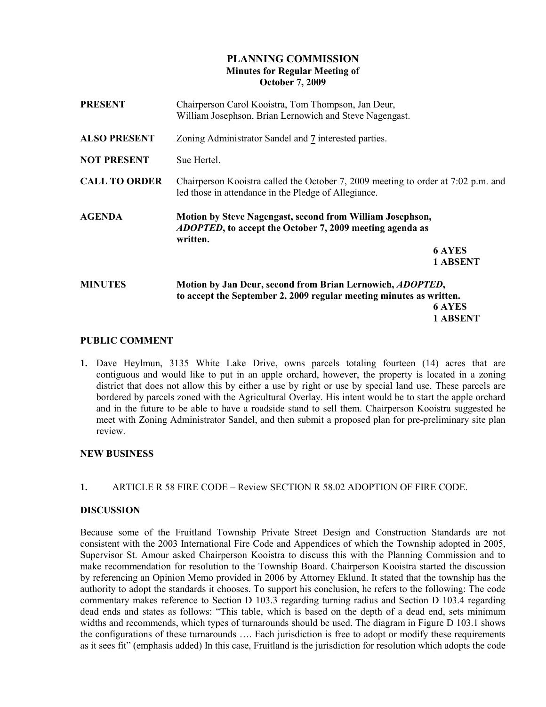# PLANNING COMMISSION Minutes for Regular Meeting of October 7, 2009

| Chairperson Carol Kooistra, Tom Thompson, Jan Deur,<br>William Josephson, Brian Lernowich and Steve Nagengast. |                                                                                                                                                                                                                                                                                           |
|----------------------------------------------------------------------------------------------------------------|-------------------------------------------------------------------------------------------------------------------------------------------------------------------------------------------------------------------------------------------------------------------------------------------|
| Zoning Administrator Sandel and 7 interested parties.                                                          |                                                                                                                                                                                                                                                                                           |
| Sue Hertel.                                                                                                    |                                                                                                                                                                                                                                                                                           |
| led those in attendance in the Pledge of Allegiance.                                                           |                                                                                                                                                                                                                                                                                           |
| written.                                                                                                       |                                                                                                                                                                                                                                                                                           |
|                                                                                                                | <b>6 AYES</b>                                                                                                                                                                                                                                                                             |
|                                                                                                                | 1 ABSENT                                                                                                                                                                                                                                                                                  |
| Motion by Jan Deur, second from Brian Lernowich, ADOPTED,                                                      |                                                                                                                                                                                                                                                                                           |
|                                                                                                                |                                                                                                                                                                                                                                                                                           |
|                                                                                                                | 6 AYES                                                                                                                                                                                                                                                                                    |
|                                                                                                                | 1 ABSENT                                                                                                                                                                                                                                                                                  |
|                                                                                                                | Chairperson Kooistra called the October 7, 2009 meeting to order at 7:02 p.m. and<br>Motion by Steve Nagengast, second from William Josephson,<br><i>ADOPTED</i> , to accept the October 7, 2009 meeting agenda as<br>to accept the September 2, 2009 regular meeting minutes as written. |

## PUBLIC COMMENT

1. Dave Heylmun, 3135 White Lake Drive, owns parcels totaling fourteen (14) acres that are contiguous and would like to put in an apple orchard, however, the property is located in a zoning district that does not allow this by either a use by right or use by special land use. These parcels are bordered by parcels zoned with the Agricultural Overlay. His intent would be to start the apple orchard and in the future to be able to have a roadside stand to sell them. Chairperson Kooistra suggested he meet with Zoning Administrator Sandel, and then submit a proposed plan for pre-preliminary site plan review.

# NEW BUSINESS

1. ARTICLE R 58 FIRE CODE – Review SECTION R 58.02 ADOPTION OF FIRE CODE.

## DISCUSSION

Because some of the Fruitland Township Private Street Design and Construction Standards are not consistent with the 2003 International Fire Code and Appendices of which the Township adopted in 2005, Supervisor St. Amour asked Chairperson Kooistra to discuss this with the Planning Commission and to make recommendation for resolution to the Township Board. Chairperson Kooistra started the discussion by referencing an Opinion Memo provided in 2006 by Attorney Eklund. It stated that the township has the authority to adopt the standards it chooses. To support his conclusion, he refers to the following: The code commentary makes reference to Section D 103.3 regarding turning radius and Section D 103.4 regarding dead ends and states as follows: "This table, which is based on the depth of a dead end, sets minimum widths and recommends, which types of turnarounds should be used. The diagram in Figure D 103.1 shows the configurations of these turnarounds …. Each jurisdiction is free to adopt or modify these requirements as it sees fit" (emphasis added) In this case, Fruitland is the jurisdiction for resolution which adopts the code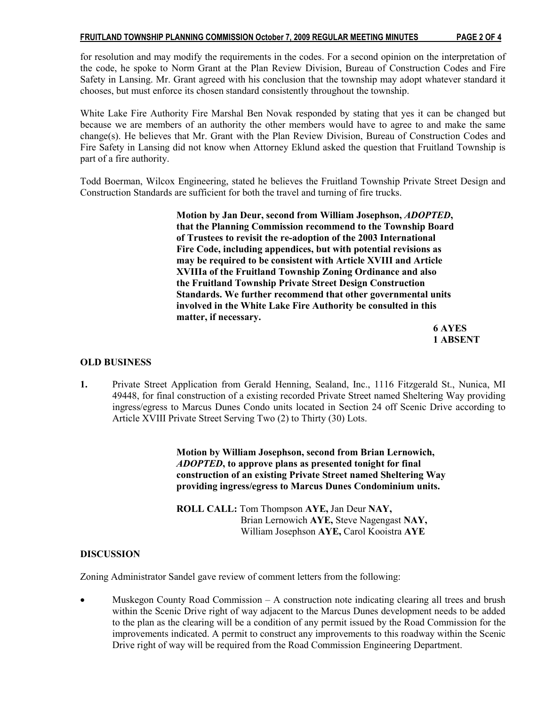#### FRUITLAND TOWNSHIP PLANNING COMMISSION October 7, 2009 REGULAR MEETING MINUTES PAGE 2 OF 4

for resolution and may modify the requirements in the codes. For a second opinion on the interpretation of the code, he spoke to Norm Grant at the Plan Review Division, Bureau of Construction Codes and Fire Safety in Lansing. Mr. Grant agreed with his conclusion that the township may adopt whatever standard it chooses, but must enforce its chosen standard consistently throughout the township.

White Lake Fire Authority Fire Marshal Ben Novak responded by stating that yes it can be changed but because we are members of an authority the other members would have to agree to and make the same change(s). He believes that Mr. Grant with the Plan Review Division, Bureau of Construction Codes and Fire Safety in Lansing did not know when Attorney Eklund asked the question that Fruitland Township is part of a fire authority.

Todd Boerman, Wilcox Engineering, stated he believes the Fruitland Township Private Street Design and Construction Standards are sufficient for both the travel and turning of fire trucks.

> Motion by Jan Deur, second from William Josephson, ADOPTED, that the Planning Commission recommend to the Township Board of Trustees to revisit the re-adoption of the 2003 International Fire Code, including appendices, but with potential revisions as may be required to be consistent with Article XVIII and Article XVIIIa of the Fruitland Township Zoning Ordinance and also the Fruitland Township Private Street Design Construction Standards. We further recommend that other governmental units involved in the White Lake Fire Authority be consulted in this matter, if necessary.

 6 AYES 1 ABSENT

## OLD BUSINESS

1. Private Street Application from Gerald Henning, Sealand, Inc., 1116 Fitzgerald St., Nunica, MI 49448, for final construction of a existing recorded Private Street named Sheltering Way providing ingress/egress to Marcus Dunes Condo units located in Section 24 off Scenic Drive according to Article XVIII Private Street Serving Two (2) to Thirty (30) Lots.

> Motion by William Josephson, second from Brian Lernowich, ADOPTED, to approve plans as presented tonight for final construction of an existing Private Street named Sheltering Way providing ingress/egress to Marcus Dunes Condominium units.

 ROLL CALL: Tom Thompson AYE, Jan Deur NAY, Brian Lernowich AYE, Steve Nagengast NAY, William Josephson AYE, Carol Kooistra AYE

## **DISCUSSION**

Zoning Administrator Sandel gave review of comment letters from the following:

• Muskegon County Road Commission – A construction note indicating clearing all trees and brush within the Scenic Drive right of way adjacent to the Marcus Dunes development needs to be added to the plan as the clearing will be a condition of any permit issued by the Road Commission for the improvements indicated. A permit to construct any improvements to this roadway within the Scenic Drive right of way will be required from the Road Commission Engineering Department.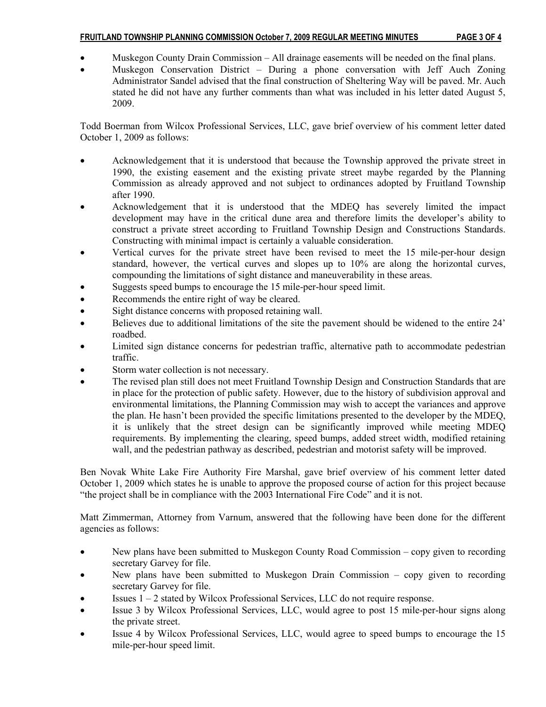## FRUITLAND TOWNSHIP PLANNING COMMISSION October 7, 2009 REGULAR MEETING MINUTES PAGE 3 OF 4

- Muskegon County Drain Commission All drainage easements will be needed on the final plans.
- Muskegon Conservation District During a phone conversation with Jeff Auch Zoning Administrator Sandel advised that the final construction of Sheltering Way will be paved. Mr. Auch stated he did not have any further comments than what was included in his letter dated August 5, 2009.

Todd Boerman from Wilcox Professional Services, LLC, gave brief overview of his comment letter dated October 1, 2009 as follows:

- Acknowledgement that it is understood that because the Township approved the private street in 1990, the existing easement and the existing private street maybe regarded by the Planning Commission as already approved and not subject to ordinances adopted by Fruitland Township after 1990.
- Acknowledgement that it is understood that the MDEQ has severely limited the impact development may have in the critical dune area and therefore limits the developer's ability to construct a private street according to Fruitland Township Design and Constructions Standards. Constructing with minimal impact is certainly a valuable consideration.
- Vertical curves for the private street have been revised to meet the 15 mile-per-hour design standard, however, the vertical curves and slopes up to 10% are along the horizontal curves, compounding the limitations of sight distance and maneuverability in these areas.
- Suggests speed bumps to encourage the 15 mile-per-hour speed limit.
- Recommends the entire right of way be cleared.
- Sight distance concerns with proposed retaining wall.
- Believes due to additional limitations of the site the pavement should be widened to the entire 24' roadbed.
- Limited sign distance concerns for pedestrian traffic, alternative path to accommodate pedestrian traffic.
- Storm water collection is not necessary.
- The revised plan still does not meet Fruitland Township Design and Construction Standards that are in place for the protection of public safety. However, due to the history of subdivision approval and environmental limitations, the Planning Commission may wish to accept the variances and approve the plan. He hasn't been provided the specific limitations presented to the developer by the MDEQ, it is unlikely that the street design can be significantly improved while meeting MDEQ requirements. By implementing the clearing, speed bumps, added street width, modified retaining wall, and the pedestrian pathway as described, pedestrian and motorist safety will be improved.

Ben Novak White Lake Fire Authority Fire Marshal, gave brief overview of his comment letter dated October 1, 2009 which states he is unable to approve the proposed course of action for this project because "the project shall be in compliance with the 2003 International Fire Code" and it is not.

Matt Zimmerman, Attorney from Varnum, answered that the following have been done for the different agencies as follows:

- New plans have been submitted to Muskegon County Road Commission copy given to recording secretary Garvey for file.
- New plans have been submitted to Muskegon Drain Commission copy given to recording secretary Garvey for file.
- Issues 1 2 stated by Wilcox Professional Services, LLC do not require response.
- Issue 3 by Wilcox Professional Services, LLC, would agree to post 15 mile-per-hour signs along the private street.
- Issue 4 by Wilcox Professional Services, LLC, would agree to speed bumps to encourage the 15 mile-per-hour speed limit.